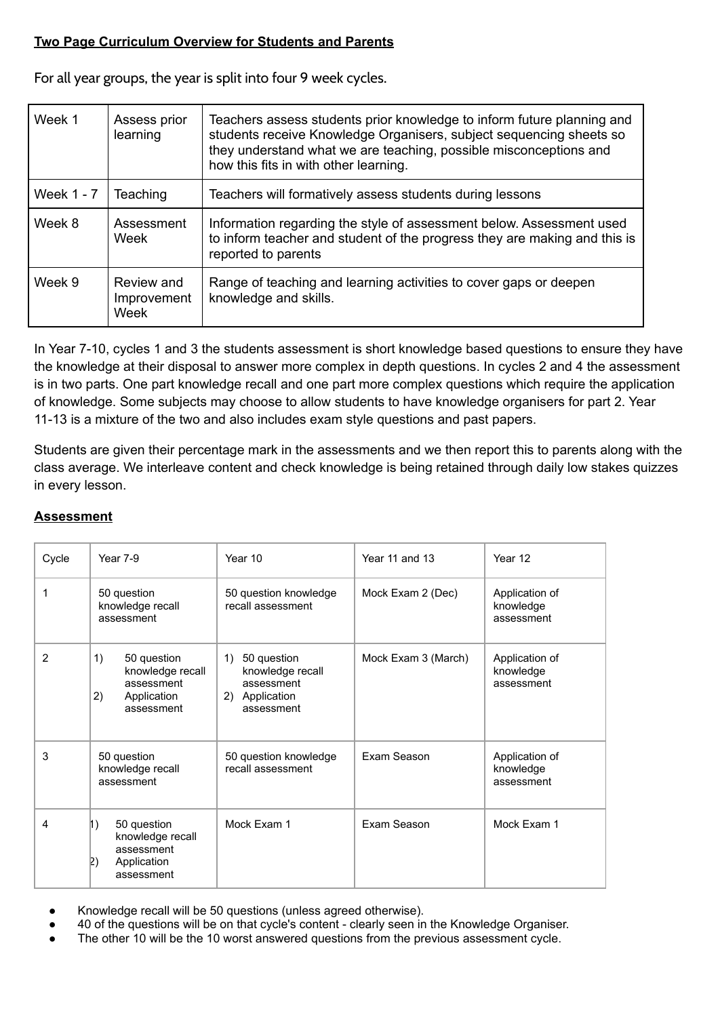## **Two Page Curriculum Overview for Students and Parents**

For all year groups, the year is split into four 9 week cycles.

| Week 1     | Assess prior<br>learning          | Teachers assess students prior knowledge to inform future planning and<br>students receive Knowledge Organisers, subject sequencing sheets so<br>they understand what we are teaching, possible misconceptions and<br>how this fits in with other learning. |  |
|------------|-----------------------------------|-------------------------------------------------------------------------------------------------------------------------------------------------------------------------------------------------------------------------------------------------------------|--|
| Week 1 - 7 | Teaching                          | Teachers will formatively assess students during lessons                                                                                                                                                                                                    |  |
| Week 8     | Assessment<br>Week                | Information regarding the style of assessment below. Assessment used<br>to inform teacher and student of the progress they are making and this is<br>reported to parents                                                                                    |  |
| Week 9     | Review and<br>Improvement<br>Week | Range of teaching and learning activities to cover gaps or deepen<br>knowledge and skills.                                                                                                                                                                  |  |

In Year 7-10, cycles 1 and 3 the students assessment is short knowledge based questions to ensure they have the knowledge at their disposal to answer more complex in depth questions. In cycles 2 and 4 the assessment is in two parts. One part knowledge recall and one part more complex questions which require the application of knowledge. Some subjects may choose to allow students to have knowledge organisers for part 2. Year 11-13 is a mixture of the two and also includes exam style questions and past papers.

Students are given their percentage mark in the assessments and we then report this to parents along with the class average. We interleave content and check knowledge is being retained through daily low stakes quizzes in every lesson.

## **Assessment**

| Cycle | Year 7-9                                                                               | Year 10                                                                             | Year 11 and 13      | Year 12                                   |
|-------|----------------------------------------------------------------------------------------|-------------------------------------------------------------------------------------|---------------------|-------------------------------------------|
| 1     | 50 question<br>knowledge recall<br>assessment                                          | 50 question knowledge<br>recall assessment                                          | Mock Exam 2 (Dec)   | Application of<br>knowledge<br>assessment |
| 2     | 1)<br>50 question<br>knowledge recall<br>assessment<br>2)<br>Application<br>assessment | 50 question<br>1)<br>knowledge recall<br>assessment<br>2) Application<br>assessment | Mock Exam 3 (March) | Application of<br>knowledge<br>assessment |
| 3     | 50 question<br>knowledge recall<br>assessment                                          | 50 question knowledge<br>recall assessment                                          | Exam Season         | Application of<br>knowledge<br>assessment |
| 4     | 50 question<br>1)<br>knowledge recall<br>assessment<br>Application<br>2)<br>assessment | Mock Exam 1                                                                         | Exam Season         | Mock Exam 1                               |

- Knowledge recall will be 50 questions (unless agreed otherwise).
- 40 of the questions will be on that cycle's content clearly seen in the Knowledge Organiser.
- The other 10 will be the 10 worst answered questions from the previous assessment cycle.